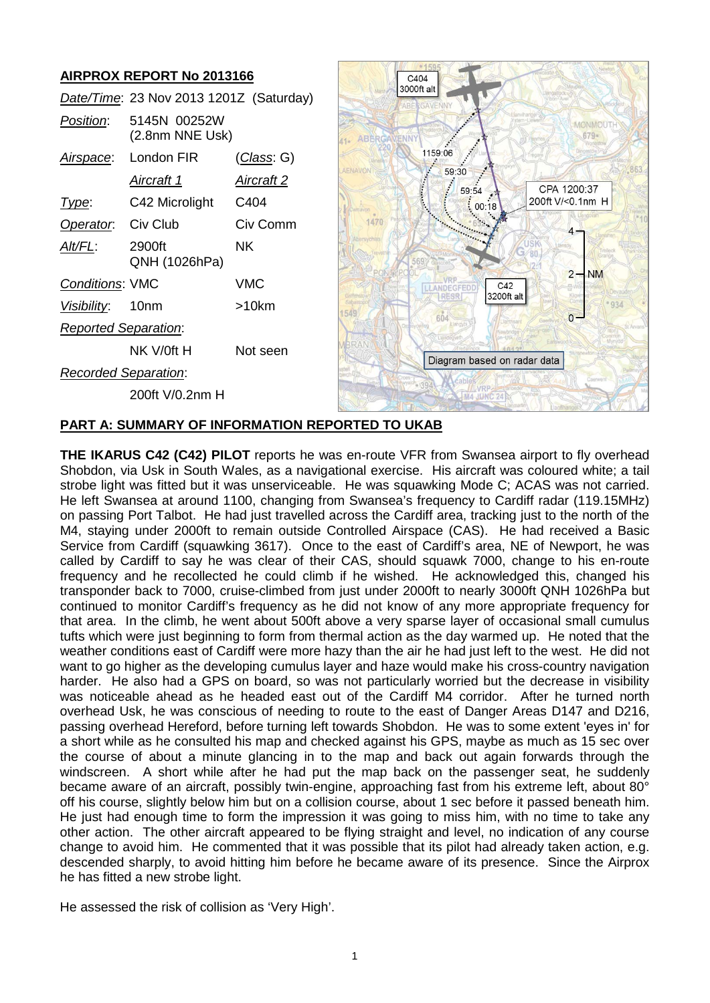# **AIRPROX REPORT No 2013166**

|                             | Date/Time: 23 Nov 2013 1201Z (Saturday) |                    |
|-----------------------------|-----------------------------------------|--------------------|
| Position:                   | 5145N 00252W<br>(2.8nm NNE Usk)         |                    |
| <u>Airspace:</u>            | London FIR                              | <u>(Class</u> : G) |
|                             | Aircraft 1                              | Aircraft 2         |
| Type:                       | C42 Microlight C404                     |                    |
| <b>Operator.</b> Civ Club   |                                         | Civ Comm           |
| Alt/FL:                     | 2900ft<br>QNH (1026hPa)                 | ΝK                 |
| <b>Conditions: VMC</b>      |                                         | VMC                |
| Visibility: 10nm            |                                         | $>10$ km           |
| <b>Reported Separation:</b> |                                         |                    |
|                             | NK V/0ft H                              | Not seen           |
| <b>Recorded Separation:</b> |                                         |                    |
|                             | 200ft V/0.2nm H                         |                    |



## **PART A: SUMMARY OF INFORMATION REPORTED TO UKAB**

**THE IKARUS C42 (C42) PILOT** reports he was en-route VFR from Swansea airport to fly overhead Shobdon, via Usk in South Wales, as a navigational exercise. His aircraft was coloured white; a tail strobe light was fitted but it was unserviceable. He was squawking Mode C; ACAS was not carried. He left Swansea at around 1100, changing from Swansea's frequency to Cardiff radar (119.15MHz) on passing Port Talbot. He had just travelled across the Cardiff area, tracking just to the north of the M4, staying under 2000ft to remain outside Controlled Airspace (CAS). He had received a Basic Service from Cardiff (squawking 3617). Once to the east of Cardiff's area, NE of Newport, he was called by Cardiff to say he was clear of their CAS, should squawk 7000, change to his en-route frequency and he recollected he could climb if he wished. He acknowledged this, changed his transponder back to 7000, cruise-climbed from just under 2000ft to nearly 3000ft QNH 1026hPa but continued to monitor Cardiff's frequency as he did not know of any more appropriate frequency for that area. In the climb, he went about 500ft above a very sparse layer of occasional small cumulus tufts which were just beginning to form from thermal action as the day warmed up. He noted that the weather conditions east of Cardiff were more hazy than the air he had just left to the west. He did not want to go higher as the developing cumulus layer and haze would make his cross-country navigation harder. He also had a GPS on board, so was not particularly worried but the decrease in visibility was noticeable ahead as he headed east out of the Cardiff M4 corridor. After he turned north overhead Usk, he was conscious of needing to route to the east of Danger Areas D147 and D216, passing overhead Hereford, before turning left towards Shobdon. He was to some extent 'eyes in' for a short while as he consulted his map and checked against his GPS, maybe as much as 15 sec over the course of about a minute glancing in to the map and back out again forwards through the windscreen. A short while after he had put the map back on the passenger seat, he suddenly became aware of an aircraft, possibly twin-engine, approaching fast from his extreme left, about 80° off his course, slightly below him but on a collision course, about 1 sec before it passed beneath him. He just had enough time to form the impression it was going to miss him, with no time to take any other action. The other aircraft appeared to be flying straight and level, no indication of any course change to avoid him. He commented that it was possible that its pilot had already taken action, e.g. descended sharply, to avoid hitting him before he became aware of its presence. Since the Airprox he has fitted a new strobe light.

He assessed the risk of collision as 'Very High'.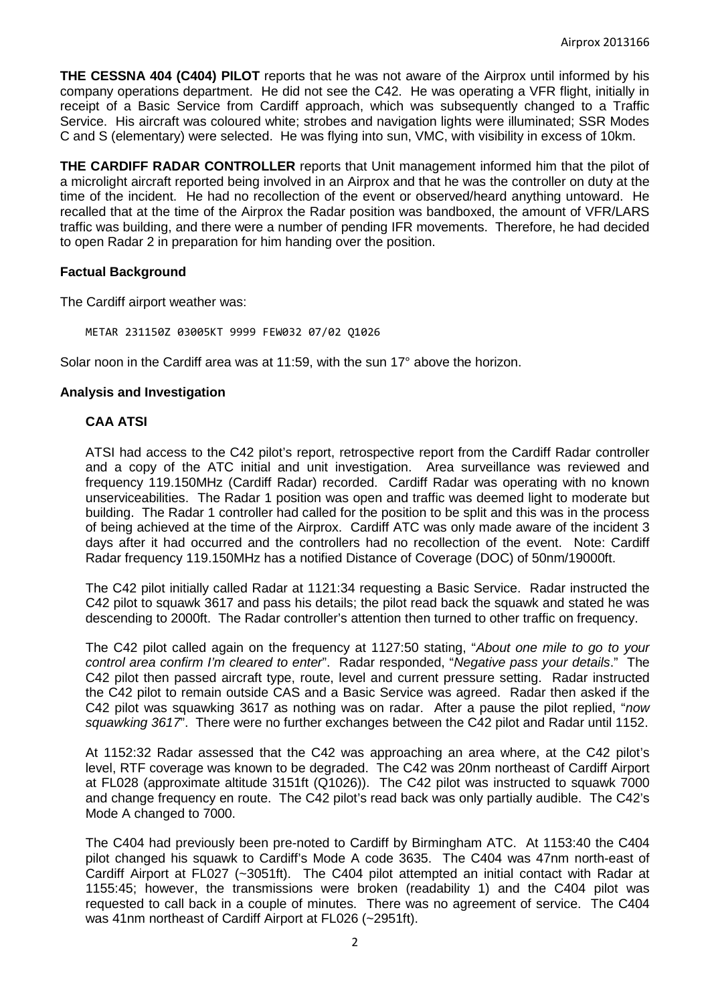**THE CESSNA 404 (C404) PILOT** reports that he was not aware of the Airprox until informed by his company operations department. He did not see the C42. He was operating a VFR flight, initially in receipt of a Basic Service from Cardiff approach, which was subsequently changed to a Traffic Service. His aircraft was coloured white; strobes and navigation lights were illuminated; SSR Modes C and S (elementary) were selected. He was flying into sun, VMC, with visibility in excess of 10km.

**THE CARDIFF RADAR CONTROLLER** reports that Unit management informed him that the pilot of a microlight aircraft reported being involved in an Airprox and that he was the controller on duty at the time of the incident. He had no recollection of the event or observed/heard anything untoward. He recalled that at the time of the Airprox the Radar position was bandboxed, the amount of VFR/LARS traffic was building, and there were a number of pending IFR movements. Therefore, he had decided to open Radar 2 in preparation for him handing over the position.

## **Factual Background**

The Cardiff airport weather was:

METAR 231150Z 03005KT 9999 FEW032 07/02 Q1026

Solar noon in the Cardiff area was at 11:59, with the sun 17° above the horizon.

## **Analysis and Investigation**

## **CAA ATSI**

ATSI had access to the C42 pilot's report, retrospective report from the Cardiff Radar controller and a copy of the ATC initial and unit investigation. Area surveillance was reviewed and frequency 119.150MHz (Cardiff Radar) recorded. Cardiff Radar was operating with no known unserviceabilities. The Radar 1 position was open and traffic was deemed light to moderate but building. The Radar 1 controller had called for the position to be split and this was in the process of being achieved at the time of the Airprox. Cardiff ATC was only made aware of the incident 3 days after it had occurred and the controllers had no recollection of the event. Note: Cardiff Radar frequency 119.150MHz has a notified Distance of Coverage (DOC) of 50nm/19000ft.

The C42 pilot initially called Radar at 1121:34 requesting a Basic Service. Radar instructed the C42 pilot to squawk 3617 and pass his details; the pilot read back the squawk and stated he was descending to 2000ft. The Radar controller's attention then turned to other traffic on frequency.

The C42 pilot called again on the frequency at 1127:50 stating, "*About one mile to go to your control area confirm I'm cleared to enter*". Radar responded, "*Negative pass your details*." The C42 pilot then passed aircraft type, route, level and current pressure setting. Radar instructed the C42 pilot to remain outside CAS and a Basic Service was agreed. Radar then asked if the C42 pilot was squawking 3617 as nothing was on radar. After a pause the pilot replied, "*now squawking 3617*". There were no further exchanges between the C42 pilot and Radar until 1152.

At 1152:32 Radar assessed that the C42 was approaching an area where, at the C42 pilot's level, RTF coverage was known to be degraded. The C42 was 20nm northeast of Cardiff Airport at FL028 (approximate altitude 3151ft (Q1026)). The C42 pilot was instructed to squawk 7000 and change frequency en route. The C42 pilot's read back was only partially audible. The C42's Mode A changed to 7000.

The C404 had previously been pre-noted to Cardiff by Birmingham ATC. At 1153:40 the C404 pilot changed his squawk to Cardiff's Mode A code 3635. The C404 was 47nm north-east of Cardiff Airport at FL027 (~3051ft). The C404 pilot attempted an initial contact with Radar at 1155:45; however, the transmissions were broken (readability 1) and the C404 pilot was requested to call back in a couple of minutes. There was no agreement of service. The C404 was 41nm northeast of Cardiff Airport at FL026 (~2951ft).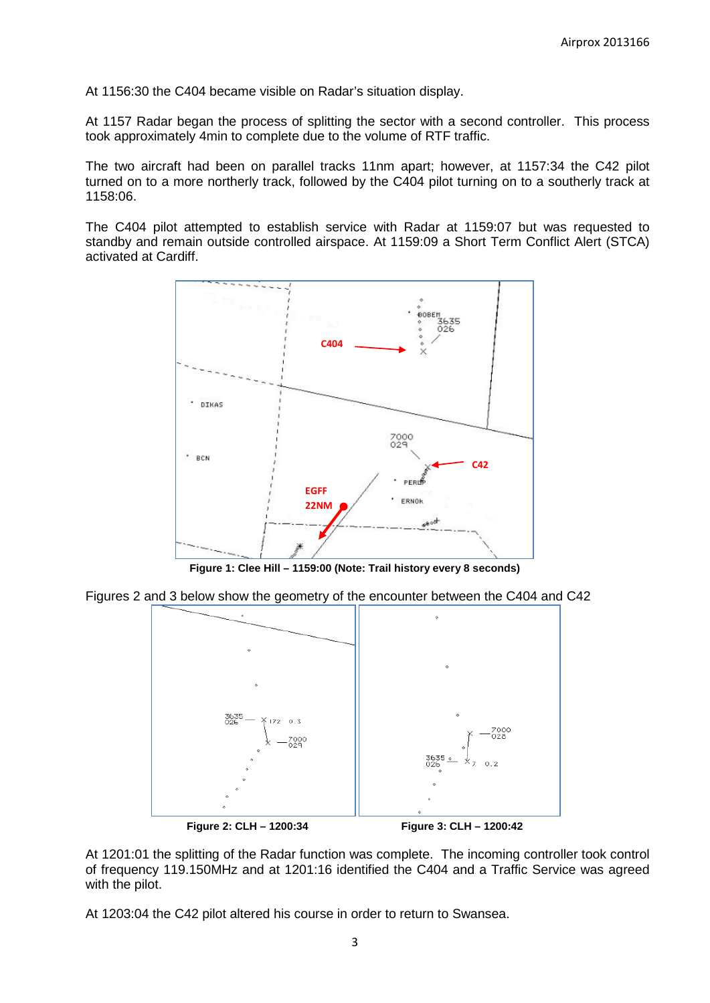At 1156:30 the C404 became visible on Radar's situation display.

At 1157 Radar began the process of splitting the sector with a second controller. This process took approximately 4min to complete due to the volume of RTF traffic.

The two aircraft had been on parallel tracks 11nm apart; however, at 1157:34 the C42 pilot turned on to a more northerly track, followed by the C404 pilot turning on to a southerly track at 1158:06.

The C404 pilot attempted to establish service with Radar at 1159:07 but was requested to standby and remain outside controlled airspace. At 1159:09 a Short Term Conflict Alert (STCA) activated at Cardiff.



**Figure 1: Clee Hill – 1159:00 (Note: Trail history every 8 seconds)**

Figures 2 and 3 below show the geometry of the encounter between the C404 and C42



**Figure 2: CLH – 1200:34 Figure 3: CLH – 1200:42**

At 1201:01 the splitting of the Radar function was complete. The incoming controller took control of frequency 119.150MHz and at 1201:16 identified the C404 and a Traffic Service was agreed with the pilot.

At 1203:04 the C42 pilot altered his course in order to return to Swansea.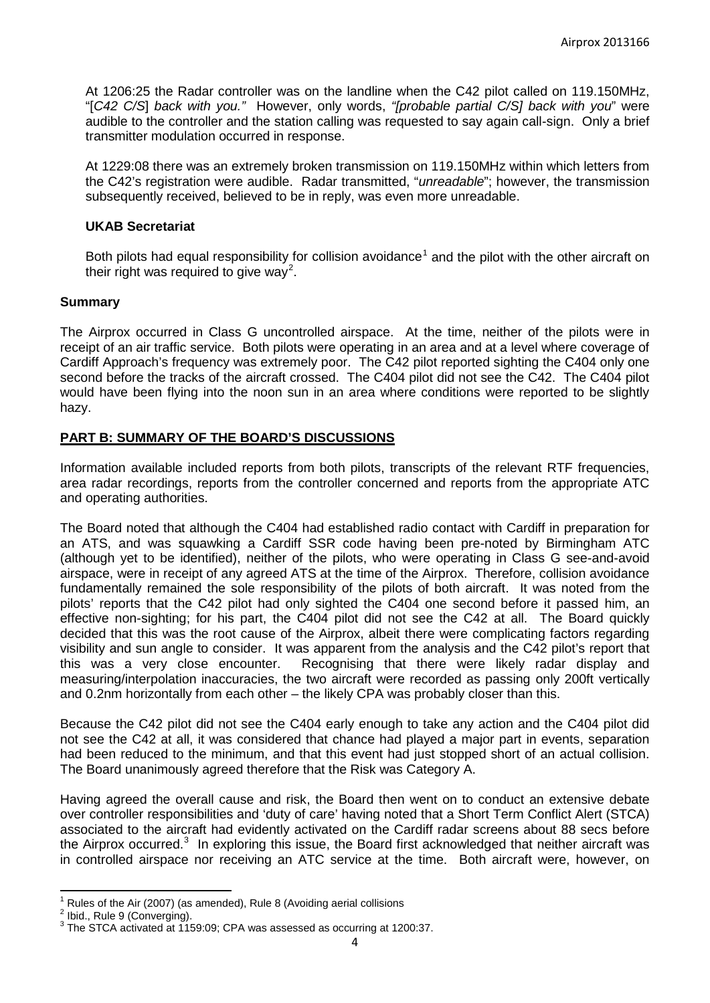At 1206:25 the Radar controller was on the landline when the C42 pilot called on 119.150MHz, "[*C42 C/S*] *back with you."* However, only words, *"[probable partial C/S] back with you*" were audible to the controller and the station calling was requested to say again call-sign. Only a brief transmitter modulation occurred in response.

At 1229:08 there was an extremely broken transmission on 119.150MHz within which letters from the C42's registration were audible. Radar transmitted, "*unreadable*"; however, the transmission subsequently received, believed to be in reply, was even more unreadable.

#### **UKAB Secretariat**

Both pilots had equal responsibility for collision avoidance<sup>[1](#page-3-0)</sup> and the pilot with the other aircraft on their right was required to give way<sup>[2](#page-3-1)</sup>.

### **Summary**

The Airprox occurred in Class G uncontrolled airspace. At the time, neither of the pilots were in receipt of an air traffic service. Both pilots were operating in an area and at a level where coverage of Cardiff Approach's frequency was extremely poor. The C42 pilot reported sighting the C404 only one second before the tracks of the aircraft crossed. The C404 pilot did not see the C42. The C404 pilot would have been flying into the noon sun in an area where conditions were reported to be slightly hazy.

### **PART B: SUMMARY OF THE BOARD'S DISCUSSIONS**

Information available included reports from both pilots, transcripts of the relevant RTF frequencies, area radar recordings, reports from the controller concerned and reports from the appropriate ATC and operating authorities.

The Board noted that although the C404 had established radio contact with Cardiff in preparation for an ATS, and was squawking a Cardiff SSR code having been pre-noted by Birmingham ATC (although yet to be identified), neither of the pilots, who were operating in Class G see-and-avoid airspace, were in receipt of any agreed ATS at the time of the Airprox. Therefore, collision avoidance fundamentally remained the sole responsibility of the pilots of both aircraft. It was noted from the pilots' reports that the C42 pilot had only sighted the C404 one second before it passed him, an effective non-sighting; for his part, the C404 pilot did not see the C42 at all. The Board quickly decided that this was the root cause of the Airprox, albeit there were complicating factors regarding visibility and sun angle to consider. It was apparent from the analysis and the C42 pilot's report that this was a very close encounter. Recognising that there were likely radar display and measuring/interpolation inaccuracies, the two aircraft were recorded as passing only 200ft vertically and 0.2nm horizontally from each other – the likely CPA was probably closer than this.

Because the C42 pilot did not see the C404 early enough to take any action and the C404 pilot did not see the C42 at all, it was considered that chance had played a major part in events, separation had been reduced to the minimum, and that this event had just stopped short of an actual collision. The Board unanimously agreed therefore that the Risk was Category A.

Having agreed the overall cause and risk, the Board then went on to conduct an extensive debate over controller responsibilities and 'duty of care' having noted that a Short Term Conflict Alert (STCA) associated to the aircraft had evidently activated on the Cardiff radar screens about 88 secs before the Airprox occurred.<sup>[3](#page-3-2)</sup> In exploring this issue, the Board first acknowledged that neither aircraft was in controlled airspace nor receiving an ATC service at the time. Both aircraft were, however, on

<span id="page-3-0"></span><sup>&</sup>lt;sup>1</sup> Rules of the Air (2007) (as amended), Rule 8 (Avoiding aerial collisions

<span id="page-3-1"></span>

<span id="page-3-2"></span>Ibid., Rule 9 (Converging).<br>The STCA activated at 1159:09; CPA was assessed as occurring at 1200:37.